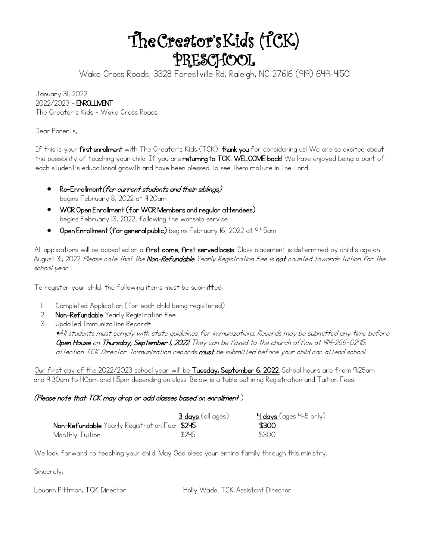# The Creator's Kids (TCK) PRESCHOOL

Wake Cross Roads, 3328 Forestville Rd, Raleigh, NC 27616 (919) 649-4150

January 31, 2022 2022/2023 – ENROLLMENT The Creator's Kids - Wake Cross Roads

Dear Parents,

If this is your first enrollment with The Creator's Kids (TCK), thank you for considering us! We are so excited about the possibility of teaching your child. If you are **returning to TCK, WELCOME back!** We have enjoyed being a part of each student's educational growth and have been blessed to see them mature in the Lord.

- Re-Enrollment (for current students and their siblings) begins February 8, 2022 at 9:20am
- WCR Open Enrollment (for WCR Members and regular attendees) begins February 13, 2022, following the worship service
- Open Enrollment (for general public) begins February 16, 2022 at 9:45am

All applications will be accepted on a first come, first served basis. Class placement is determined by child's age on August 31, 2022. Please note that the **Non-Refundable** Yearly Registration Fee is **not** counted towards tuition for the school year.

To register your child, the following items must be submitted:

- 1. Completed Application (for each child being registered)
- 2. Non-Refundable Yearly Registration Fee
- 3. Updated Immunization Record\*

\*All students must comply with state guidelines for immunizations. Records may be submitted any time before Open House on Thursday, September 1, 2022 They can be faxed to the church office at 919-266-0245; attention TCK Director. Immunization records **must** be submitted before your child can attend school.

Our first day of the 2022/2023 school year will be Tuesday, September 6, 2022. School hours are from 9:25am and 9:30am to 1:10pm and 1:15pm depending on class. Below is a table outlining Registration and Tuition Fees.

#### (Please note that TCK may drop or add classes based on enrollment.)

|                                               | 3 days (all ages) | <mark>Ч days (</mark> ages Ч-5 only) |
|-----------------------------------------------|-------------------|--------------------------------------|
| Non-Refundable Yearly Registration Fee: \$245 |                   | \$300                                |
| Monthly Tuition:                              | \$245             | \$300                                |

We look forward to teaching your child. May God bless your entire family through this ministry.

Sincerely,

Louann Pittman, TCK Director **Holly Wade, TCK Assistant Director**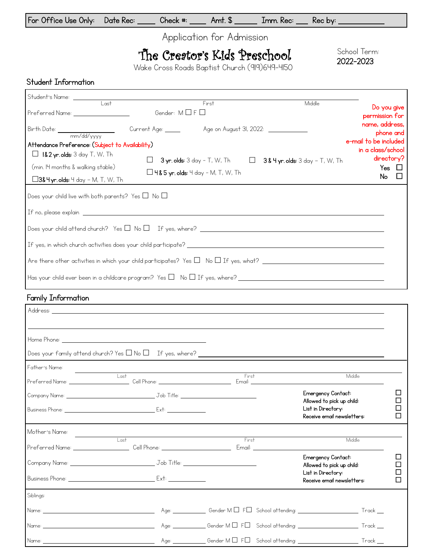| For Office Use Only: Date Rec: | Check #: | $Amt.$ $\sim$ | Imm. Rec: Rec by: |  |
|--------------------------------|----------|---------------|-------------------|--|
|--------------------------------|----------|---------------|-------------------|--|

Application for Admission

# The Creator's Kids Preschool

Wake Cross Roads Baptist Church (919)649-4150

School Term: 2022-2023

#### Student Information

| Student's Name: <u>Unit Last Last Communications of Last Communications of Last Communications of Last Communications of Last Communications of Last Communications of Last Communications of Last Communications of Last Commun</u> |                    |                                                                                  |                                                            |                                                                   |
|--------------------------------------------------------------------------------------------------------------------------------------------------------------------------------------------------------------------------------------|--------------------|----------------------------------------------------------------------------------|------------------------------------------------------------|-------------------------------------------------------------------|
|                                                                                                                                                                                                                                      |                    | First                                                                            | Middle                                                     | Do you give                                                       |
| Preferred Name: __________________                                                                                                                                                                                                   | Gender: M□F□       |                                                                                  |                                                            | permission for                                                    |
|                                                                                                                                                                                                                                      | Current Age: _____ |                                                                                  |                                                            | name, address,<br>phone and                                       |
| Attendance Preference: (Subject to Availability)<br>$\Box$ 1&2 yr. olds: 3 day T, W, Th<br>(min. 14 months & walking stable)                                                                                                         | $\Box$             | <b>3 yr. olds:</b> 3 day - T, W, Th<br>$\Box$ 4& 5 yr. olds: 4 day - M, T, W, Th | $\Box$<br>$38$ 4 yr. olds: 3 day - T, W, Th                | e-mail to be included<br>in a class/school<br>directory?<br>Yes □ |
| $\Box$ 3& H yr. olds: 4 day – M, T, W, Th                                                                                                                                                                                            |                    |                                                                                  |                                                            | No<br>$\Box$                                                      |
| Does your child live with both parents? Yes $\square$ No $\square$                                                                                                                                                                   |                    |                                                                                  |                                                            |                                                                   |
|                                                                                                                                                                                                                                      |                    |                                                                                  |                                                            |                                                                   |
|                                                                                                                                                                                                                                      |                    |                                                                                  |                                                            |                                                                   |
|                                                                                                                                                                                                                                      |                    |                                                                                  |                                                            |                                                                   |
|                                                                                                                                                                                                                                      |                    |                                                                                  |                                                            |                                                                   |
|                                                                                                                                                                                                                                      |                    |                                                                                  |                                                            |                                                                   |
| Family Information                                                                                                                                                                                                                   |                    |                                                                                  | <u> 1989 - Johann Stoff, amerikansk politiker (* 1908)</u> |                                                                   |
|                                                                                                                                                                                                                                      |                    |                                                                                  |                                                            |                                                                   |
|                                                                                                                                                                                                                                      |                    |                                                                                  |                                                            |                                                                   |
|                                                                                                                                                                                                                                      |                    |                                                                                  |                                                            |                                                                   |
| Does your family attend church? Yes $\square$ No $\square$ If yes, where?                                                                                                                                                            |                    |                                                                                  |                                                            |                                                                   |
| $Fat$ $Fat$ $Fat$ $Fat$ $Fat$ $Fat$ $Fat$ $Fat$ $Fat$ $Fat$ $Fat$ $Fat$ $Fat$ $Fat$ $Fat$ $Fat$ $Fat$ $Fat$ $Fat$ $Fat$                                                                                                              |                    |                                                                                  |                                                            |                                                                   |

| I GILICI SINGING.                                                                                              |                                                                                                                 |       |                                                                               |  |
|----------------------------------------------------------------------------------------------------------------|-----------------------------------------------------------------------------------------------------------------|-------|-------------------------------------------------------------------------------|--|
|                                                                                                                | Last                                                                                                            | First | Middle                                                                        |  |
|                                                                                                                |                                                                                                                 |       | Emergency Contact:                                                            |  |
|                                                                                                                |                                                                                                                 |       | Allowed to pick up child:<br>List in Directory:<br>Receive email newsletters: |  |
| Mother's Name:                                                                                                 |                                                                                                                 |       |                                                                               |  |
|                                                                                                                | $+$ ast<br>  Preferred Name: ______________________Cell Phone: _____________________________ Email: ___________ | First | Middle                                                                        |  |
|                                                                                                                |                                                                                                                 |       | Emergency Contact:<br>Allowed to pick up child:                               |  |
|                                                                                                                | <b>Business Phone:</b> Ext:                                                                                     |       | List in Directory:<br>Receive email newsletters:                              |  |
| Siblings:                                                                                                      |                                                                                                                 |       |                                                                               |  |
|                                                                                                                |                                                                                                                 |       |                                                                               |  |
| Name: 2008 - 2008 - 2010 - 2010 - 2010 - 2010 - 2010 - 2010 - 2010 - 2010 - 2010 - 2010 - 2010 - 2010 - 2010 - |                                                                                                                 |       |                                                                               |  |
|                                                                                                                |                                                                                                                 |       |                                                                               |  |